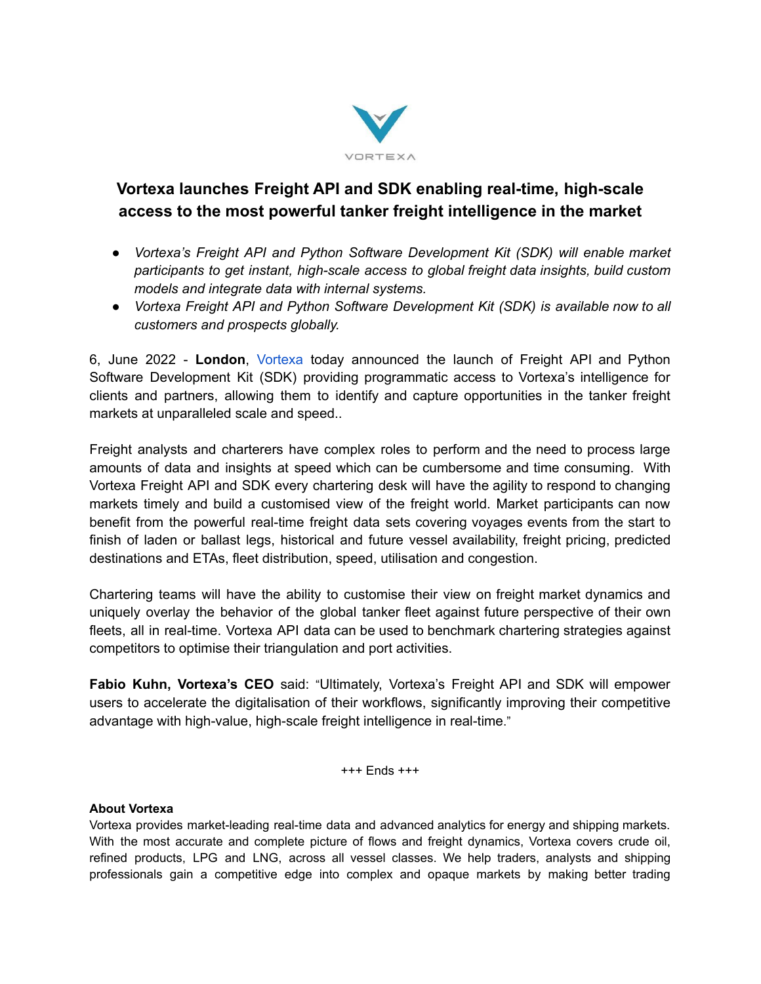

## **Vortexa launches Freight API and SDK enabling real-time, high-scale access to the most powerful tanker freight intelligence in the market**

- *● Vortexa's Freight API and Python Software Development Kit (SDK) will enable market participants to get instant, high-scale access to global freight data insights, build custom models and integrate data with internal systems.*
- *● Vortexa Freight API and Python Software Development Kit (SDK) is available now to all customers and prospects globally.*

6, June 2022 - **London**, [Vortexa](https://www.vortexa.com/) today announced the launch of Freight API and Python Software Development Kit (SDK) providing programmatic access to Vortexa's intelligence for clients and partners, allowing them to identify and capture opportunities in the tanker freight markets at unparalleled scale and speed..

Freight analysts and charterers have complex roles to perform and the need to process large amounts of data and insights at speed which can be cumbersome and time consuming. With Vortexa Freight API and SDK every chartering desk will have the agility to respond to changing markets timely and build a customised view of the freight world. Market participants can now benefit from the powerful real-time freight data sets covering voyages events from the start to finish of laden or ballast legs, historical and future vessel availability, freight pricing, predicted destinations and ETAs, fleet distribution, speed, utilisation and congestion.

Chartering teams will have the ability to customise their view on freight market dynamics and uniquely overlay the behavior of the global tanker fleet against future perspective of their own fleets, all in real-time. Vortexa API data can be used to benchmark chartering strategies against competitors to optimise their triangulation and port activities.

**Fabio Kuhn, Vortexa's CEO** said: "Ultimately, Vortexa's Freight API and SDK will empower users to accelerate the digitalisation of their workflows, significantly improving their competitive advantage with high-value, high-scale freight intelligence in real-time."

+++ Ends +++

## **About Vortexa**

Vortexa provides market-leading real-time data and advanced analytics for energy and shipping markets. With the most accurate and complete picture of flows and freight dynamics, Vortexa covers crude oil, refined products, LPG and LNG, across all vessel classes. We help traders, analysts and shipping professionals gain a competitive edge into complex and opaque markets by making better trading